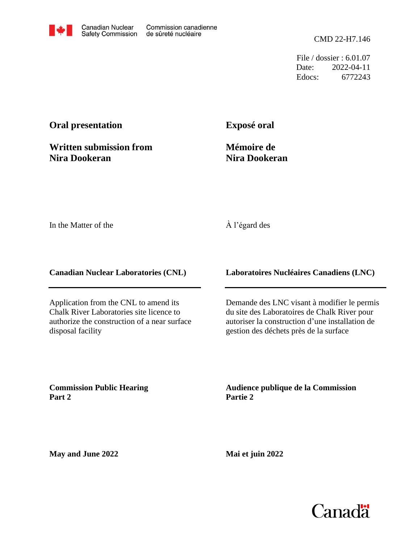CMD 22-H7.146

File / dossier : 6.01.07 Date: 2022-04-11 Edocs: 6772243

# **Oral presentation**

**Written submission from Nira Dookeran**

**Exposé oral**

**Mémoire de Nira Dookeran**

In the Matter of the

## À l'égard des

**Canadian Nuclear Laboratories (CNL)**

Application from the CNL to amend its Chalk River Laboratories site licence to authorize the construction of a near surface disposal facility

**Laboratoires Nucléaires Canadiens (LNC)**

Demande des LNC visant à modifier le permis du site des Laboratoires de Chalk River pour autoriser la construction d'une installation de gestion des déchets près de la surface

**Commission Public Hearing Part 2**

**Audience publique de la Commission Partie 2**

**May and June 2022**

**Mai et juin 2022**

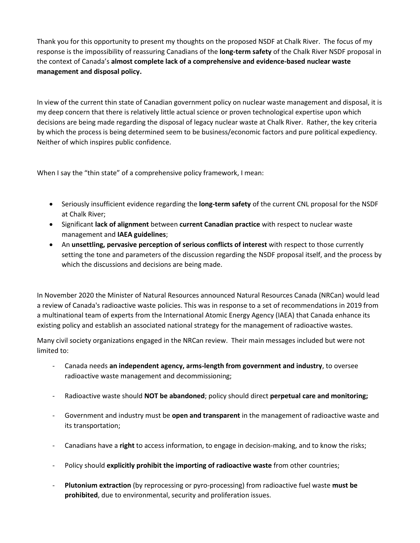Thank you for this opportunity to present my thoughts on the proposed NSDF at Chalk River. The focus of my response is the impossibility of reassuring Canadians of the **long-term safety** of the Chalk River NSDF proposal in the context of Canada's **almost complete lack of a comprehensive and evidence-based nuclear waste management and disposal policy.**

In view of the current thin state of Canadian government policy on nuclear waste management and disposal, it is my deep concern that there is relatively little actual science or proven technological expertise upon which decisions are being made regarding the disposal of legacy nuclear waste at Chalk River. Rather, the key criteria by which the process is being determined seem to be business/economic factors and pure political expediency. Neither of which inspires public confidence.

When I say the "thin state" of a comprehensive policy framework, I mean:

- Seriously insufficient evidence regarding the **long-term safety** of the current CNL proposal for the NSDF at Chalk River;
- Significant **lack of alignment** between **current Canadian practice** with respect to nuclear waste management and **IAEA guidelines**;
- An **unsettling, pervasive perception of serious conflicts of interest** with respect to those currently setting the tone and parameters of the discussion regarding the NSDF proposal itself, and the process by which the discussions and decisions are being made.

In November 2020 the Minister of Natural Resources announced Natural Resources Canada (NRCan) would lead a review of Canada's radioactive waste policies. This was in response to a set of recommendations in 2019 from a multinational team of experts from the International Atomic Energy Agency (IAEA) that Canada enhance its existing policy and establish an associated national strategy for the management of radioactive wastes.

Many civil society organizations engaged in the NRCan review. Their main messages included but were not limited to:

- Canada needs **an independent agency, arms-length from government and industry**, to oversee radioactive waste management and decommissioning;
- Radioactive waste should **NOT be abandoned**; policy should direct **perpetual care and monitoring;**
- Government and industry must be **open and transparent** in the management of radioactive waste and its transportation;
- Canadians have a **right** to access information, to engage in decision-making, and to know the risks;
- Policy should **explicitly prohibit the importing of radioactive waste** from other countries;
- **Plutonium extraction** (by reprocessing or pyro-processing) from radioactive fuel waste **must be prohibited**, due to environmental, security and proliferation issues.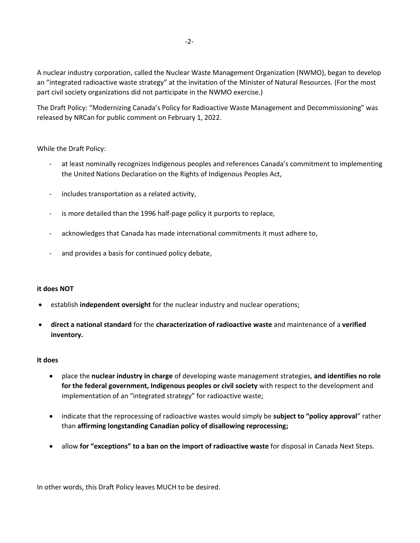A nuclear industry corporation, called the Nuclear Waste Management Organization (NWMO), began to develop an "integrated radioactive waste strategy" at the invitation of the Minister of Natural Resources. (For the most part civil society organizations did not participate in the NWMO exercise.)

The Draft Policy: "Modernizing Canada's Policy for Radioactive Waste Management and Decommissioning" was released by NRCan for public comment on February 1, 2022.

### While the Draft Policy:

- at least nominally recognizes Indigenous peoples and references Canada's commitment to implementing the United Nations Declaration on the Rights of Indigenous Peoples Act,
- includes transportation as a related activity,
- is more detailed than the 1996 half-page policy it purports to replace,
- acknowledges that Canada has made international commitments it must adhere to,
- and provides a basis for continued policy debate,

#### **it does NOT**

- establish **independent oversight** for the nuclear industry and nuclear operations;
- **direct a national standard** for the **characterization of radioactive waste** and maintenance of a **verified inventory.**

#### **It does**

- place the **nuclear industry in charge** of developing waste management strategies, **and identifies no role for the federal government, Indigenous peoples or civil society** with respect to the development and implementation of an "integrated strategy" for radioactive waste;
- indicate that the reprocessing of radioactive wastes would simply be **subject to "policy approval**" rather than **affirming longstanding Canadian policy of disallowing reprocessing;**
- allow **for "exceptions" to a ban on the import of radioactive waste** for disposal in Canada Next Steps.

In other words, this Draft Policy leaves MUCH to be desired.